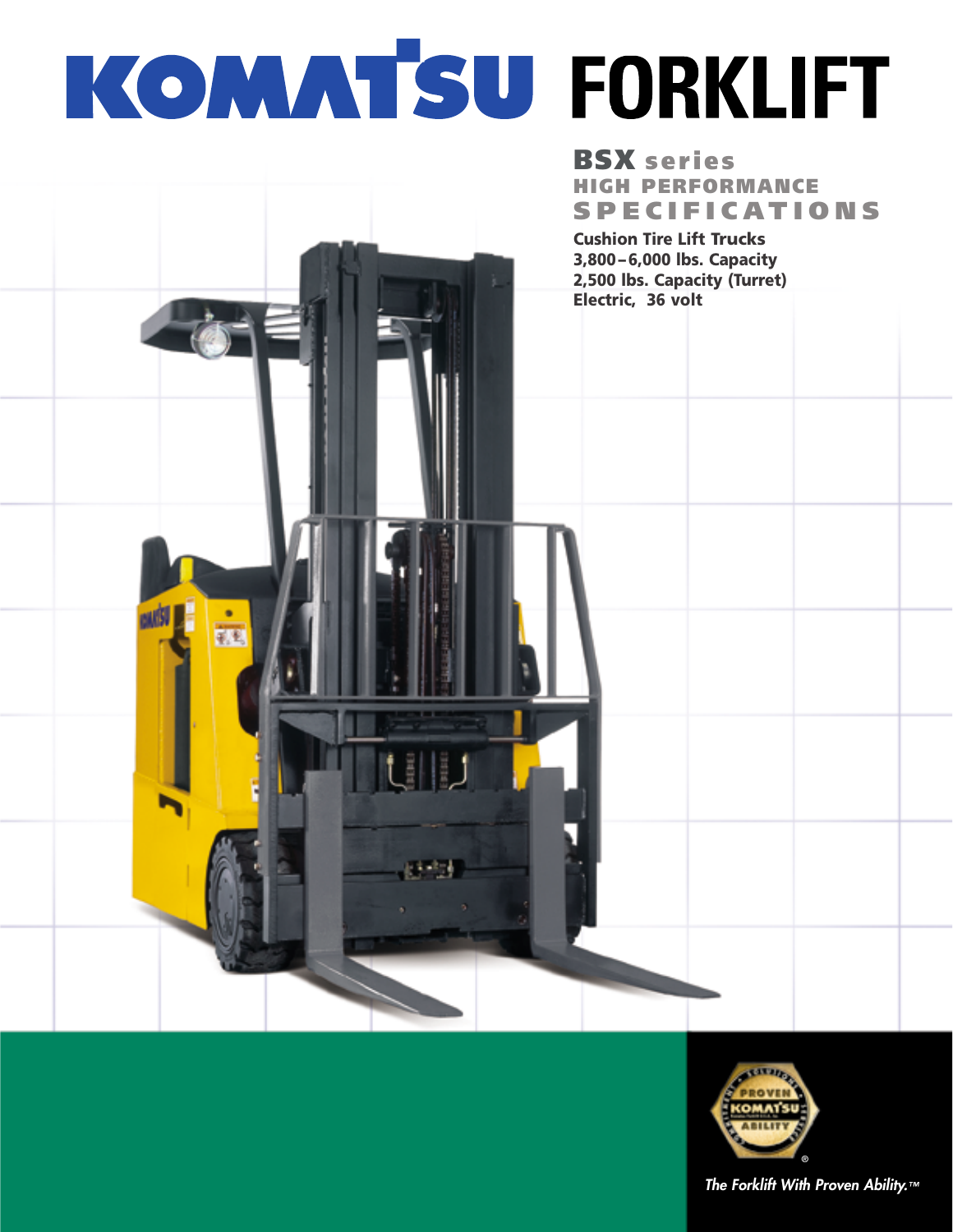# KOMATSU FORKLIFT

훼동

# **BSX series HIGH PERFORMANCE SPECIFICATIONS**

**Cushion Tire Lift Trucks 3,800 – 6,000 lbs. Capacity 2,500 lbs. Capacity (Turret) Electric, 36 volt**



**The Forklift With Proven Ability.™**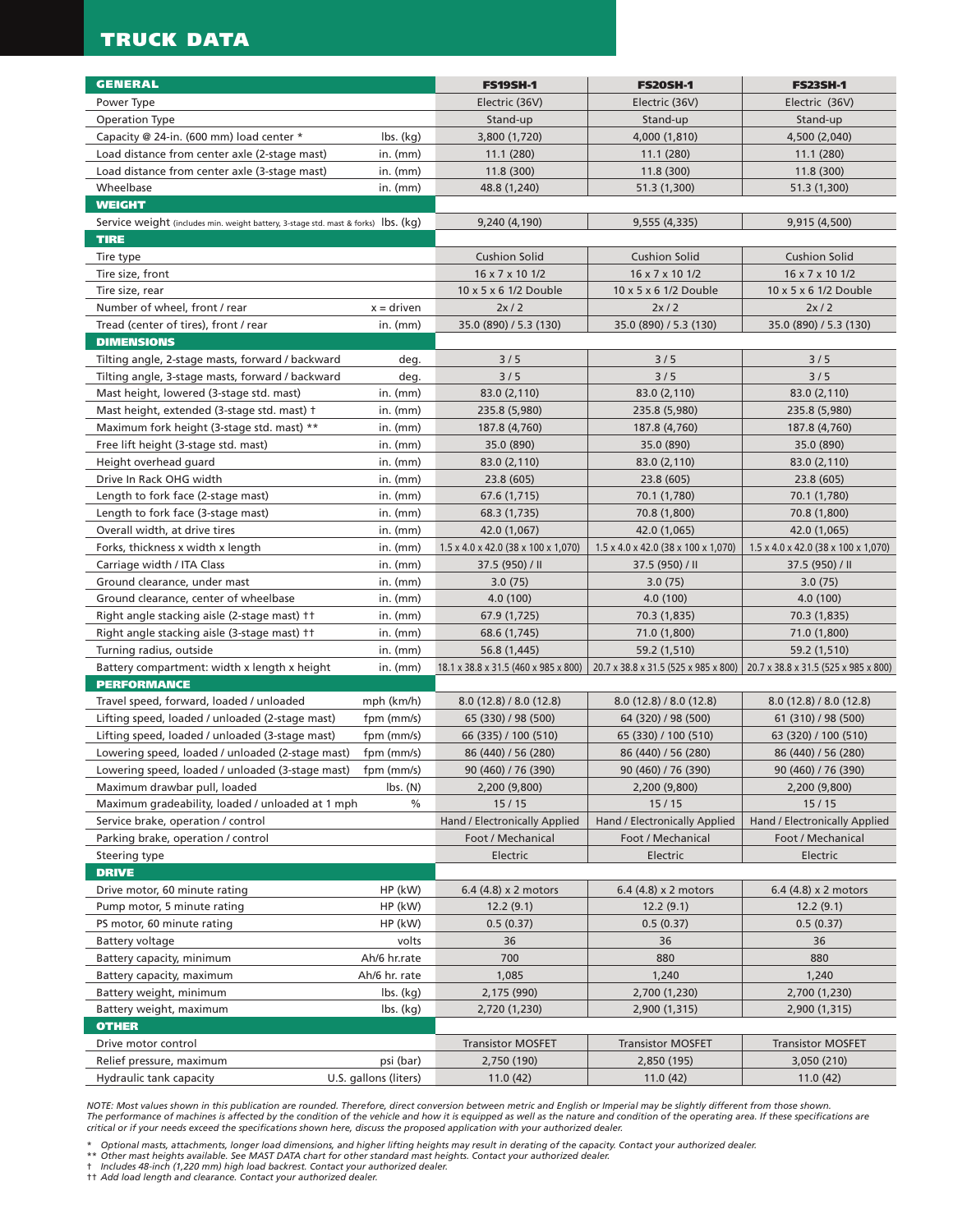# **TRUCK DATA**

| <b>GENERAL</b>                                                                     |                                                | <b>FS19SH-1</b>                                 | <b>FS20SH-1</b>                                                             | <b>FS23SH-1</b>                                 |
|------------------------------------------------------------------------------------|------------------------------------------------|-------------------------------------------------|-----------------------------------------------------------------------------|-------------------------------------------------|
| Power Type                                                                         |                                                | Electric (36V)                                  | Electric (36V)                                                              | Electric (36V)                                  |
| Operation Type                                                                     |                                                | Stand-up                                        | Stand-up                                                                    | Stand-up                                        |
| Capacity @ 24-in. (600 mm) load center *                                           | $\mathsf{lbs.}\mathsf{(kg)}$                   | 3,800 (1,720)                                   | 4,000 (1,810)                                                               | 4,500 (2,040)                                   |
| Load distance from center axle (2-stage mast)                                      | in. $(mm)$                                     | 11.1 (280)                                      | 11.1(280)                                                                   | 11.1(280)                                       |
| Load distance from center axle (3-stage mast)                                      | in. $(mm)$                                     | 11.8 (300)                                      | 11.8 (300)                                                                  | 11.8 (300)                                      |
| Wheelbase                                                                          | in. $(mm)$                                     | 48.8 (1,240)                                    | 51.3 (1,300)                                                                | 51.3 (1,300)                                    |
| <b>WEIGHT</b>                                                                      |                                                |                                                 |                                                                             |                                                 |
| Service weight (includes min. weight battery, 3-stage std. mast & forks) Ibs. (kg) |                                                | 9,240 (4,190)                                   | 9,555 (4,335)                                                               | 9,915 (4,500)                                   |
| <b>TIRE</b>                                                                        |                                                |                                                 |                                                                             |                                                 |
| Tire type                                                                          |                                                | <b>Cushion Solid</b>                            | <b>Cushion Solid</b>                                                        | <b>Cushion Solid</b>                            |
| Tire size, front                                                                   |                                                | 16 x 7 x 10 1/2                                 | 16 x 7 x 10 1/2                                                             | 16 x 7 x 10 1/2                                 |
| Tire size, rear                                                                    |                                                | 10 x 5 x 6 1/2 Double                           | 10 x 5 x 6 1/2 Double                                                       | 10 x 5 x 6 1/2 Double                           |
| Number of wheel, front / rear                                                      | $x =$ driven                                   | 2x/2                                            | 2x/2                                                                        | 2x/2                                            |
| Tread (center of tires), front / rear                                              | in. $(mm)$                                     | 35.0 (890) / 5.3 (130)                          | 35.0 (890) / 5.3 (130)                                                      | 35.0 (890) / 5.3 (130)                          |
| <b>DIMENSIONS</b>                                                                  |                                                |                                                 |                                                                             |                                                 |
| Tilting angle, 2-stage masts, forward / backward                                   | deg.                                           | 3/5                                             | 3/5                                                                         | 3/5                                             |
| Tilting angle, 3-stage masts, forward / backward                                   | deg.                                           | 3/5                                             | 3/5                                                                         | 3/5                                             |
| Mast height, lowered (3-stage std. mast)                                           | in. $(mm)$                                     | 83.0 (2,110)                                    | 83.0 (2,110)                                                                | 83.0 (2,110)                                    |
| Mast height, extended (3-stage std. mast) +                                        | in. $(mm)$                                     | 235.8 (5,980)                                   | 235.8 (5,980)                                                               | 235.8 (5,980)                                   |
| Maximum fork height (3-stage std. mast) **                                         | in. $(mm)$                                     | 187.8 (4,760)                                   | 187.8 (4,760)                                                               | 187.8 (4,760)                                   |
| Free lift height (3-stage std. mast)                                               | in. $(mm)$                                     | 35.0 (890)                                      | 35.0 (890)                                                                  | 35.0 (890)                                      |
| Height overhead guard                                                              | in. $(mm)$                                     | 83.0 (2,110)                                    | 83.0 (2,110)                                                                | 83.0 (2,110)                                    |
| Drive In Rack OHG width                                                            | in. $(mm)$                                     | 23.8 (605)                                      | 23.8 (605)                                                                  | 23.8 (605)                                      |
| Length to fork face (2-stage mast)                                                 | in. $(mm)$                                     | 67.6 (1,715)                                    | 70.1 (1,780)                                                                | 70.1 (1,780)                                    |
| Length to fork face (3-stage mast)                                                 | in. $(mm)$                                     | 68.3 (1,735)                                    | 70.8 (1,800)                                                                | 70.8 (1,800)                                    |
| Overall width, at drive tires                                                      | in. $(mm)$                                     | 42.0 (1,067)                                    | 42.0 (1,065)                                                                | 42.0 (1,065)                                    |
| Forks, thickness x width x length                                                  | in. $(mm)$                                     | $1.5 \times 4.0 \times 42.0$ (38 x 100 x 1,070) | $1.5 \times 4.0 \times 42.0$ (38 x 100 x 1,070)                             | $1.5 \times 4.0 \times 42.0$ (38 x 100 x 1,070) |
| Carriage width / ITA Class                                                         | in. $(mm)$                                     | 37.5 (950) / II                                 | 37.5 (950) / II                                                             | 37.5 (950) / II                                 |
| Ground clearance, under mast                                                       | in. $(mm)$                                     | 3.0(75)                                         | 3.0(75)                                                                     | 3.0(75)                                         |
| Ground clearance, center of wheelbase                                              | in. $(mm)$                                     | 4.0(100)                                        | 4.0 (100)                                                                   | 4.0 (100)                                       |
| Right angle stacking aisle (2-stage mast) ††                                       | in. $(mm)$                                     | 67.9 (1,725)                                    | 70.3 (1,835)                                                                | 70.3 (1,835)                                    |
| Right angle stacking aisle (3-stage mast) ††                                       | in. $(mm)$                                     | 68.6 (1,745)                                    | 71.0 (1,800)                                                                | 71.0 (1,800)                                    |
| Turning radius, outside                                                            | in. $(mm)$                                     | 56.8 (1,445)                                    | 59.2 (1,510)                                                                | 59.2 (1,510)                                    |
| Battery compartment: width x length x height                                       | in. $(mm)$                                     | 18.1 x 38.8 x 31.5 (460 x 985 x 800)            | 20.7 x 38.8 x 31.5 (525 x 985 x 800)   20.7 x 38.8 x 31.5 (525 x 985 x 800) |                                                 |
| <b>PERFORMANCE</b>                                                                 |                                                |                                                 |                                                                             |                                                 |
| Travel speed, forward, loaded / unloaded                                           | mph (km/h)                                     | 8.0(12.8)/8.0(12.8)                             | 8.0(12.8)/8.0(12.8)                                                         | 8.0(12.8)/8.0(12.8)                             |
| Lifting speed, loaded / unloaded (2-stage mast)                                    | fpm (mm/s)                                     | 65 (330) / 98 (500)                             | 64 (320) / 98 (500)                                                         | 61 (310) / 98 (500)                             |
| Lifting speed, loaded / unloaded (3-stage mast)                                    | fpm (mm/s)                                     | 66 (335) / 100 (510)                            | 65 (330) / 100 (510)                                                        | 63 (320) / 100 (510)                            |
| Lowering speed, loaded / unloaded (2-stage mast)                                   | fpm (mm/s)                                     | 86 (440) / 56 (280)                             | 86 (440) / 56 (280)                                                         | 86 (440) / 56 (280)                             |
| Lowering speed, loaded / unloaded (3-stage mast) fpm (mm/s)                        |                                                | 90 (460) / 76 (390)                             | 90 (460) / 76 (390)                                                         | 90 (460) / 76 (390)                             |
| Maximum drawbar pull, loaded<br>Maximum gradeability, loaded / unloaded at 1 mph   | $\mathsf{lbs.}\left(\mathsf{N}\right)$<br>$\%$ | 2,200 (9,800)<br>15/15                          | 2,200 (9,800)<br>15/15                                                      | 2,200 (9,800)<br>15/15                          |
| Service brake, operation / control                                                 |                                                | Hand / Electronically Applied                   | Hand / Electronically Applied                                               | Hand / Electronically Applied                   |
| Parking brake, operation / control                                                 |                                                | Foot / Mechanical                               | Foot / Mechanical                                                           | Foot / Mechanical                               |
| Steering type                                                                      |                                                | Electric                                        | Electric                                                                    | Electric                                        |
| <b>DRIVE</b>                                                                       |                                                |                                                 |                                                                             |                                                 |
| Drive motor, 60 minute rating                                                      | HP (kW)                                        | 6.4 (4.8) x 2 motors                            | 6.4 (4.8) x 2 motors                                                        | 6.4 (4.8) x 2 motors                            |
| Pump motor, 5 minute rating                                                        | HP (kW)                                        | 12.2(9.1)                                       | 12.2(9.1)                                                                   | 12.2(9.1)                                       |
| PS motor, 60 minute rating                                                         | HP (kW)                                        | 0.5(0.37)                                       | 0.5(0.37)                                                                   | 0.5(0.37)                                       |
| Battery voltage                                                                    | volts                                          | 36                                              | 36                                                                          | 36                                              |
| Battery capacity, minimum                                                          | Ah/6 hr.rate                                   | 700                                             | 880                                                                         | 880                                             |
| Battery capacity, maximum                                                          | Ah/6 hr. rate                                  | 1,085                                           | 1,240                                                                       | 1,240                                           |
| Battery weight, minimum                                                            | $\mathsf{lbs.}\mathsf{(kg)}$                   | 2,175 (990)                                     | 2,700 (1,230)                                                               | 2,700 (1,230)                                   |
| Battery weight, maximum                                                            | $\mathsf{lbs.}\left(\mathsf{kg}\right)$        | 2,720 (1,230)                                   | 2,900 (1,315)                                                               | 2,900 (1,315)                                   |
| <b>OTHER</b>                                                                       |                                                |                                                 |                                                                             |                                                 |
| Drive motor control                                                                |                                                | <b>Transistor MOSFET</b>                        | <b>Transistor MOSFET</b>                                                    | <b>Transistor MOSFET</b>                        |
| Relief pressure, maximum                                                           | psi (bar)                                      | 2,750 (190)                                     | 2,850 (195)                                                                 | 3,050 (210)                                     |
| Hydraulic tank capacity                                                            | U.S. gallons (liters)                          | 11.0(42)                                        | 11.0(42)                                                                    | 11.0(42)                                        |

NOTE: Most values shown in this publication are rounded. Therefore, direct conversion between metric and English or Imperial may be slightly different from those shown.<br>The performance of machines is affected by the condit *critical or if your needs exceed the specifications shown here, discuss the proposed application with your authorized dealer.* 

\* Optional masts, attachments, longer load dimensions, and higher lifting heights may result in derating of the capacity. Contact your authorized dealer.<br>\*\* Other mast heights available. See MAST DATA chart for other sta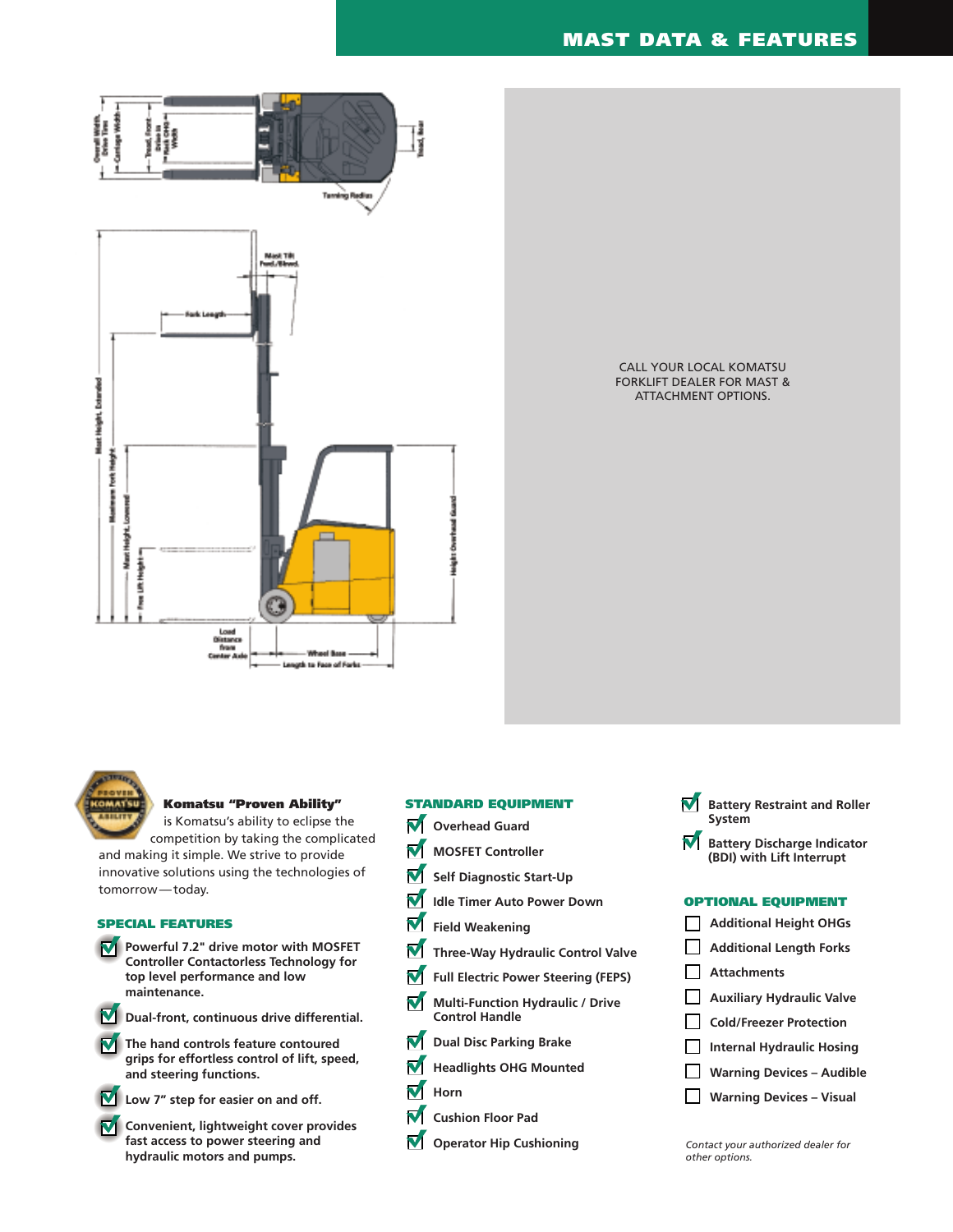

CALL YOUR LOCAL KOMATSU FORKLIFT DEALER FOR MAST & ATTACHMENT OPTIONS.



## **Komatsu "Proven Ability"**

is Komatsu's ability to eclipse the competition by taking the complicated

and making it simple. We strive to provide innovative solutions using the technologies of tomorrow — today.

## **SPECIAL FEATURES**

- **Powerful 7.2" drive motor with MOSFET Controller Contactorless Technology for top level performance and low maintenance.**
- **Dual-front, continuous drive differential.**
- **The hand controls feature contoured grips for effortless control of lift, speed, and steering functions.**



- **Low 7" step for easier on and off.**
- **M** Convenient, lightweight cover provides **fast access to power steering and hydraulic motors and pumps.**

# **STANDARD EQUIPMENT**

- **N** Overhead Guard
- M **MOSFET Controller**
- M **Self Diagnostic Start-Up**
- M **Idle Timer Auto Power Down**
- M **Field Weakening**
- M **Three-Way Hydraulic Control Valve**
- M **Full Electric Power Steering (FEPS)**
- **Multi-Function Hydraulic / Drive** M **Control Handle**
- **Dual Disc Parking Brake**
- **Headlights OHG Mounted**
- M **Horn**
- **Cushion Floor Pad**
- **Operator Hip Cushioning** *Contact your authorized dealer for*

## **Battery Restraint and Roller System**

**Battery Discharge Indicator (BDI) with Lift Interrupt**

## **OPTIONAL EQUIPMENT**

- **Additional Height OHGs** П. **Additional Length Forks** П **Attachments**  $\mathbf{L}$ **Auxiliary Hydraulic Valve Cold/Freezer Protection**  $\Box$ **Internal Hydraulic Hosing Warning Devices – Audible**
- $\Box$ **Warning Devices – Visual**
- *other options.*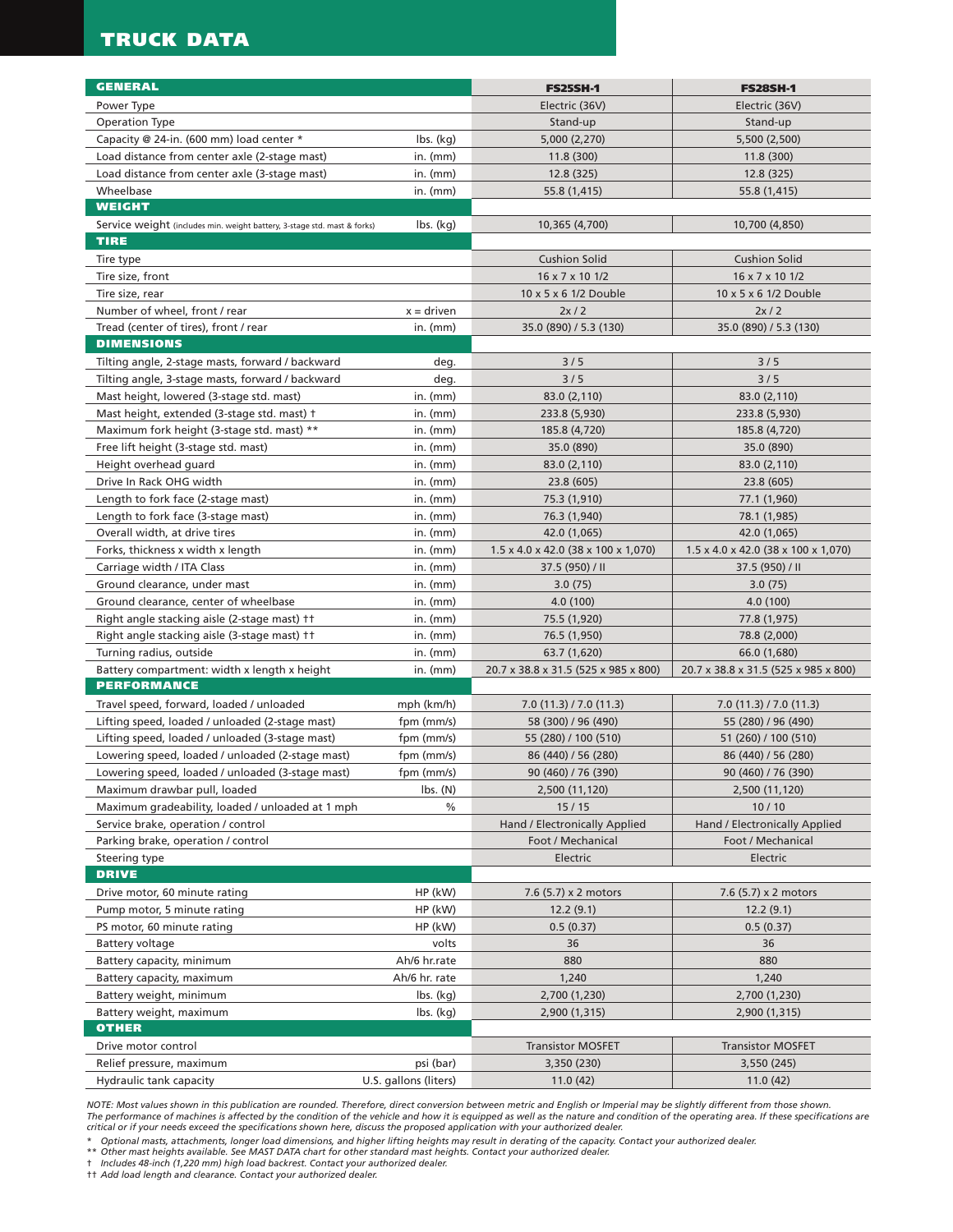# **TRUCK DATA**

| <b>GENERAL</b>                                                                            |                                         |                                                 |                                      |
|-------------------------------------------------------------------------------------------|-----------------------------------------|-------------------------------------------------|--------------------------------------|
| Power Type                                                                                |                                         | <b>FS25SH-1</b><br>Electric (36V)               | <b>FS28SH-1</b><br>Electric (36V)    |
| <b>Operation Type</b>                                                                     |                                         |                                                 | Stand-up                             |
|                                                                                           |                                         | Stand-up                                        |                                      |
| Capacity @ 24-in. (600 mm) load center *<br>Load distance from center axle (2-stage mast) | $\mathsf{lbs.}\left(\mathsf{kg}\right)$ | 5,000 (2,270)                                   | 5,500 (2,500)<br>11.8 (300)          |
|                                                                                           | in. $(mm)$                              | 11.8(300)                                       | 12.8 (325)                           |
| Load distance from center axle (3-stage mast)<br>Wheelbase                                | $in.$ (mm)                              | 12.8 (325)                                      |                                      |
| <b>WEIGHT</b>                                                                             | in. $(mm)$                              | 55.8 (1,415)                                    | 55.8 (1,415)                         |
|                                                                                           |                                         |                                                 | 10,700 (4,850)                       |
| Service weight (includes min. weight battery, 3-stage std. mast & forks)<br><b>TIRE</b>   | lbs. (kg)                               | 10,365 (4,700)                                  |                                      |
| Tire type                                                                                 |                                         | <b>Cushion Solid</b>                            | <b>Cushion Solid</b>                 |
| Tire size, front                                                                          |                                         | 16 x 7 x 10 1/2                                 | 16 x 7 x 10 1/2                      |
| Tire size, rear                                                                           |                                         | 10 x 5 x 6 1/2 Double                           | 10 x 5 x 6 1/2 Double                |
| Number of wheel, front / rear                                                             | $x =$ driven                            | 2x/2                                            | 2x/2                                 |
| Tread (center of tires), front / rear                                                     | in. $(mm)$                              | 35.0 (890) / 5.3 (130)                          | 35.0 (890) / 5.3 (130)               |
| <b>DIMENSIONS</b>                                                                         |                                         |                                                 |                                      |
| Tilting angle, 2-stage masts, forward / backward                                          | deg.                                    | 3/5                                             | 3/5                                  |
| Tilting angle, 3-stage masts, forward / backward                                          | deg.                                    | 3/5                                             | 3/5                                  |
| Mast height, lowered (3-stage std. mast)                                                  | $in.$ ( $mm$ )                          | 83.0 (2,110)                                    | 83.0 (2,110)                         |
| Mast height, extended (3-stage std. mast) †                                               | $in.$ (mm)                              | 233.8 (5,930)                                   | 233.8 (5,930)                        |
| Maximum fork height (3-stage std. mast) **                                                | $in.$ ( $mm$ )                          | 185.8 (4,720)                                   | 185.8 (4,720)                        |
| Free lift height (3-stage std. mast)                                                      | $in.$ ( $mm$ )                          | 35.0 (890)                                      | 35.0 (890)                           |
| Height overhead guard                                                                     | $in.$ (mm)                              | 83.0 (2,110)                                    | 83.0 (2,110)                         |
| Drive In Rack OHG width                                                                   | in. $(mm)$                              | 23.8 (605)                                      | 23.8 (605)                           |
| Length to fork face (2-stage mast)                                                        | in. $(mm)$                              | 75.3 (1,910)                                    | 77.1 (1,960)                         |
| Length to fork face (3-stage mast)                                                        | $in.$ ( $mm$ )                          | 76.3 (1,940)                                    | 78.1 (1,985)                         |
| Overall width, at drive tires                                                             | in. $(mm)$                              | 42.0 (1,065)                                    | 42.0 (1,065)                         |
| Forks, thickness x width x length                                                         | in. $(mm)$                              | $1.5 \times 4.0 \times 42.0$ (38 x 100 x 1,070) | 1.5 x 4.0 x 42.0 (38 x 100 x 1,070)  |
| Carriage width / ITA Class                                                                | in. $(mm)$                              | 37.5 (950) / II                                 | 37.5 (950) / II                      |
| Ground clearance, under mast                                                              | in. $(mm)$                              | 3.0(75)                                         | 3.0(75)                              |
| Ground clearance, center of wheelbase                                                     | $in.$ (mm)                              | 4.0(100)                                        | 4.0 (100)                            |
| Right angle stacking aisle (2-stage mast) ††                                              | $in.$ (mm)                              | 75.5 (1,920)                                    | 77.8 (1,975)                         |
| Right angle stacking aisle (3-stage mast) ††                                              | in. $(mm)$                              | 76.5 (1,950)                                    | 78.8 (2,000)                         |
| Turning radius, outside                                                                   | in. $(mm)$                              | 63.7 (1,620)                                    | 66.0 (1,680)                         |
| Battery compartment: width x length x height                                              | in. $(mm)$                              | 20.7 x 38.8 x 31.5 (525 x 985 x 800)            | 20.7 x 38.8 x 31.5 (525 x 985 x 800) |
| <b>PERFORMANCE</b>                                                                        |                                         |                                                 |                                      |
| Travel speed, forward, loaded / unloaded                                                  | mph (km/h)                              | 7.0(11.3)/7.0(11.3)                             | 7.0(11.3)/7.0(11.3)                  |
| Lifting speed, loaded / unloaded (2-stage mast)                                           | fpm (mm/s)                              | 58 (300) / 96 (490)                             | 55 (280) / 96 (490)                  |
| Lifting speed, loaded / unloaded (3-stage mast)                                           | fpm (mm/s)                              | 55 (280) / 100 (510)                            | 51 (260) / 100 (510)                 |
| Lowering speed, loaded / unloaded (2-stage mast)                                          | fpm (mm/s)                              | 86 (440) / 56 (280)                             | 86 (440) / 56 (280)                  |
| Lowering speed, loaded / unloaded (3-stage mast)                                          | fpm (mm/s)                              | 90 (460) / 76 (390)                             | 90 (460) / 76 (390)                  |
| Maximum drawbar pull, loaded                                                              | $\mathsf{lbs.}\left(\mathsf{N}\right)$  | 2,500 (11,120)                                  | 2,500 (11,120)                       |
| Maximum gradeability, loaded / unloaded at 1 mph                                          | %                                       | 15/15                                           | 10/10                                |
| Service brake, operation / control                                                        |                                         | Hand / Electronically Applied                   | Hand / Electronically Applied        |
| Parking brake, operation / control                                                        |                                         | Foot / Mechanical                               | Foot / Mechanical                    |
| Steering type                                                                             |                                         | Electric                                        | Electric                             |
| <b>DRIVE</b>                                                                              |                                         |                                                 |                                      |
| Drive motor, 60 minute rating                                                             | HP (kW)                                 | 7.6 (5.7) x 2 motors                            | 7.6 (5.7) x 2 motors                 |
| Pump motor, 5 minute rating                                                               | HP (kW)                                 | 12.2(9.1)                                       | 12.2(9.1)                            |
| PS motor, 60 minute rating                                                                | HP (kW)                                 | 0.5(0.37)                                       | 0.5(0.37)                            |
| Battery voltage                                                                           | volts                                   | 36                                              | 36                                   |
| Battery capacity, minimum                                                                 | Ah/6 hr.rate                            | 880                                             | 880                                  |
| Battery capacity, maximum                                                                 | Ah/6 hr. rate                           | 1,240                                           | 1,240                                |
| Battery weight, minimum                                                                   | $\mathsf{lbs.}\mathsf{(kg)}$            | 2,700 (1,230)                                   | 2,700 (1,230)                        |
| Battery weight, maximum                                                                   | $\mathsf{lbs.}\mathsf{(kg)}$            | 2,900 (1,315)                                   | 2,900 (1,315)                        |
| OTHER                                                                                     |                                         |                                                 |                                      |
| Drive motor control                                                                       |                                         | <b>Transistor MOSFET</b>                        | <b>Transistor MOSFET</b>             |
| Relief pressure, maximum                                                                  | psi (bar)                               | 3,350 (230)                                     | 3,550 (245)                          |
| Hydraulic tank capacity                                                                   | U.S. gallons (liters)                   | 11.0(42)                                        | 11.0(42)                             |

*NOTE: Most values shown in this publication are rounded. Therefore, direct conversion between metric and English or Imperial may be slightly different from those shown.*  The performance of machines is affected by the condition of the vehicle and how it is equipped as well as the nature and condition of the operating area. If these specifications are<br>critical or if your needs exceed the spe

\* Optional masts, attachments, longer load dimensions, and higher lifting heights may result in derating of the capacity. Contact your authorized dealer.<br>\*\* Other mast heights available. See MAST DATA chart for other sta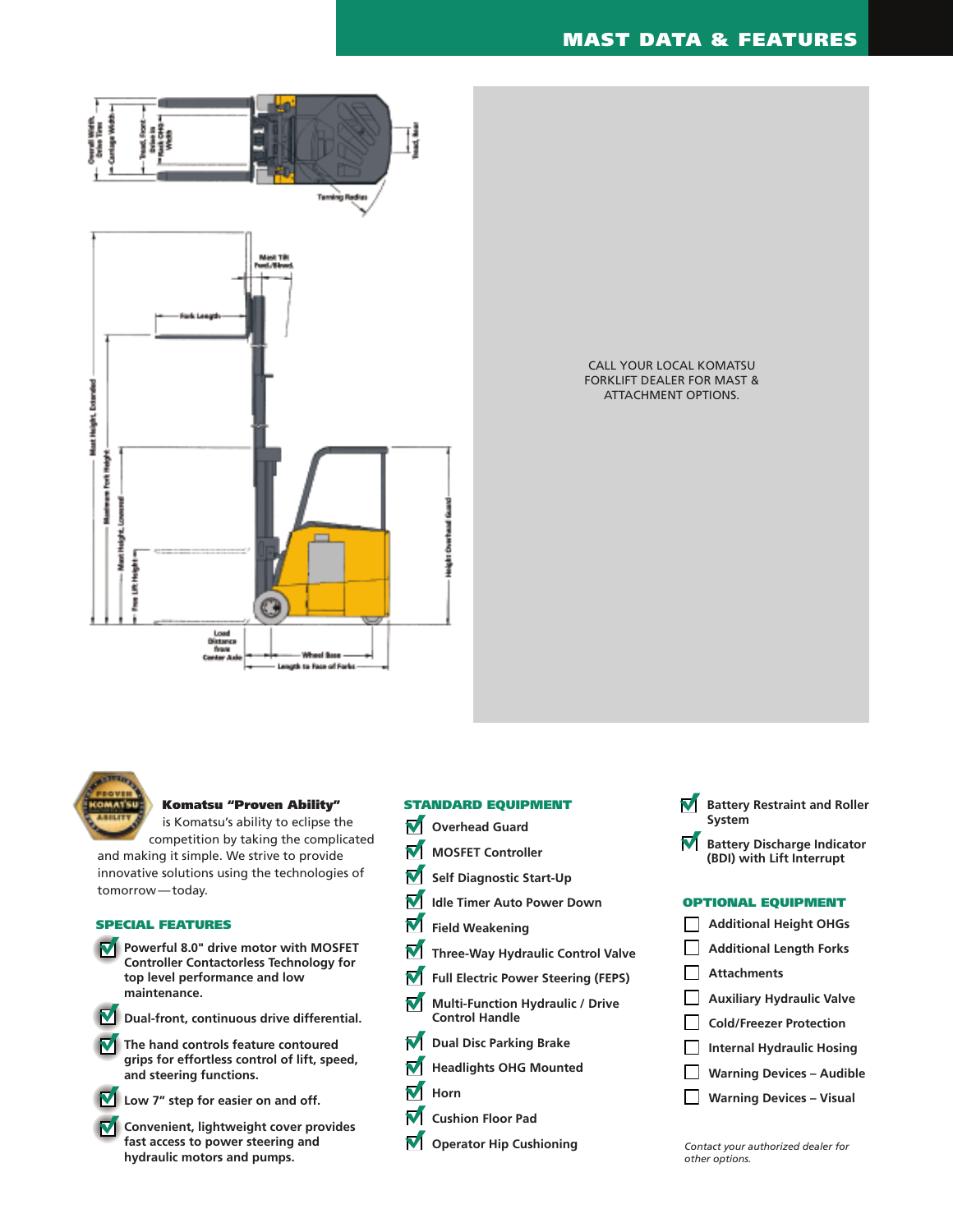



## **Komatsu "Proven Ability"**

is Komatsu's ability to eclipse the competition by taking the complicated

and making it simple. We strive to provide innovative solutions using the technologies of tomorrow — today.

## **SPECIAL FEATURES**

**Powerful 8.0" drive motor with MOSFET Controller Contactorless Technology for top level performance and low maintenance.**

**Dual-front, continuous drive differential.**

**The hand controls feature contoured grips for effortless control of lift, speed, and steering functions.**



- **Low 7" step for easier on and off.**
- $\nabla$  Convenient, lightweight cover provides **fast access to power steering and hydraulic motors and pumps.**



- **M** Overhead Guard
- **MOSFET Controller** M
- M **Self Diagnostic Start-Up**
- M **Idle Timer Auto Power Down**
- M **Field Weakening**
- M **Three-Way Hydraulic Control Valve**
- **Full Electric Power Steering (FEPS)**
- **Multi-Function Hydraulic / Drive** M **Control Handle**
- **Dual Disc Parking Brake**
- **Headlights OHG Mounted**
- M<sub>Horn</sub>
- **Cushion Floor Pad**
- **Operator Hip Cushioning** *Contact your authorized dealer for*

#### **Battery Restraint and Roller** M **System**

**Battery Discharge Indicator (BDI) with Lift Interrupt**

## **OPTIONAL EQUIPMENT**

- **Additional Height OHGs Additional Length Forks Attachments Auxiliary Hydraulic Valve Cold/Freezer Protection Internal Hydraulic Hosing Warning Devices – Audible Warning Devices – Visual**
- *other options.*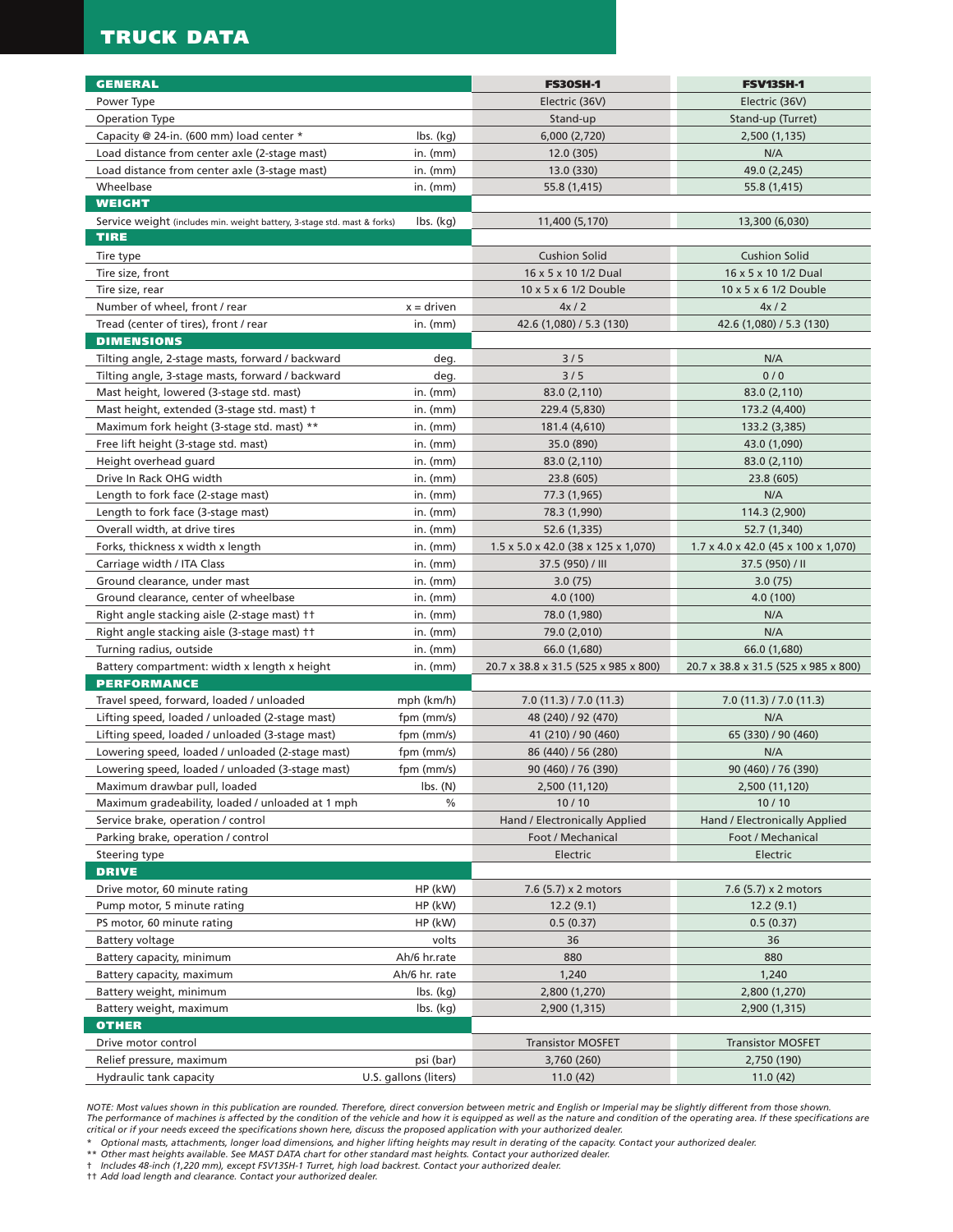# **TRUCK DATA**

| <b>GENERAL</b>                                                                          |                                        | <b>FS30SH-1</b>                                      | <b>FSV13SH-1</b>                                     |
|-----------------------------------------------------------------------------------------|----------------------------------------|------------------------------------------------------|------------------------------------------------------|
| Power Type                                                                              |                                        | Electric (36V)                                       | Electric (36V)                                       |
| <b>Operation Type</b>                                                                   |                                        | Stand-up                                             | Stand-up (Turret)                                    |
| Capacity @ 24-in. (600 mm) load center *                                                | $\mathsf{lbs.}\mathsf{(kg)}$           | 6,000 (2,720)                                        | 2,500 (1,135)                                        |
| Load distance from center axle (2-stage mast)                                           | in. $(mm)$                             | 12.0 (305)                                           | N/A                                                  |
| Load distance from center axle (3-stage mast)                                           | in. $(mm)$                             | 13.0 (330)                                           | 49.0 (2,245)                                         |
| Wheelbase<br><b>WEIGHT</b>                                                              | in. $(mm)$                             | 55.8 (1,415)                                         | 55.8 (1,415)                                         |
|                                                                                         |                                        |                                                      |                                                      |
| Service weight (includes min. weight battery, 3-stage std. mast & forks)<br><b>TIRE</b> | $\mathsf{lbs.}\mathsf{(kg)}$           | 11,400 (5,170)                                       | 13,300 (6,030)                                       |
|                                                                                         |                                        |                                                      |                                                      |
| Tire type                                                                               |                                        | <b>Cushion Solid</b>                                 | <b>Cushion Solid</b>                                 |
| Tire size, front                                                                        |                                        | 16 x 5 x 10 1/2 Dual                                 | 16 x 5 x 10 1/2 Dual                                 |
| Tire size, rear                                                                         |                                        | 10 x 5 x 6 1/2 Double                                | 10 x 5 x 6 1/2 Double                                |
| Number of wheel, front / rear                                                           | $x =$ driven                           | 4x/2                                                 | 4x/2                                                 |
| Tread (center of tires), front / rear                                                   | in. $(mm)$                             | 42.6 (1,080) / 5.3 (130)                             | 42.6 (1,080) / 5.3 (130)                             |
| <b>DIMENSIONS</b>                                                                       |                                        |                                                      |                                                      |
| Tilting angle, 2-stage masts, forward / backward                                        | deg.                                   | 3/5                                                  | N/A                                                  |
| Tilting angle, 3-stage masts, forward / backward                                        | deg.                                   | 3/5                                                  | 0/0                                                  |
| Mast height, lowered (3-stage std. mast)                                                | in. $(mm)$                             | 83.0 (2,110)                                         | 83.0 (2,110)                                         |
| Mast height, extended (3-stage std. mast) +                                             | in. $(mm)$                             | 229.4 (5,830)                                        | 173.2 (4,400)                                        |
| Maximum fork height (3-stage std. mast) **                                              | in. $(mm)$                             | 181.4 (4,610)                                        | 133.2 (3,385)                                        |
| Free lift height (3-stage std. mast)                                                    | $in.$ (mm)<br>$in.$ ( $mm$ )           | 35.0 (890)                                           | 43.0 (1,090)                                         |
| Height overhead guard<br>Drive In Rack OHG width                                        |                                        | 83.0 (2,110)                                         | 83.0 (2,110)                                         |
|                                                                                         | in. $(mm)$                             | 23.8 (605)                                           | 23.8 (605)                                           |
| Length to fork face (2-stage mast)                                                      | in. $(mm)$                             | 77.3 (1,965)                                         | N/A                                                  |
| Length to fork face (3-stage mast)                                                      | $in.$ (mm)                             | 78.3 (1,990)                                         | 114.3 (2,900)                                        |
| Overall width, at drive tires                                                           | in. $(mm)$                             | 52.6 (1,335)                                         | 52.7 (1,340)                                         |
| Forks, thickness x width x length                                                       | $in.$ (mm)                             | $1.5 \times 5.0 \times 42.0$ (38 x 125 x 1,070)      | 1.7 x 4.0 x 42.0 (45 x 100 x 1,070)                  |
| Carriage width / ITA Class                                                              | in. $(mm)$                             | 37.5 (950) / III                                     | 37.5 (950) / II                                      |
| Ground clearance, under mast                                                            | in. $(mm)$                             | 3.0(75)                                              | 3.0(75)                                              |
| Ground clearance, center of wheelbase<br>Right angle stacking aisle (2-stage mast) ††   | in. $(mm)$<br>in. $(mm)$               | 4.0(100)                                             | 4.0 (100)<br>N/A                                     |
|                                                                                         |                                        | 78.0 (1,980)                                         | N/A                                                  |
| Right angle stacking aisle (3-stage mast) ††<br>Turning radius, outside                 | in. $(mm)$                             | 79.0 (2,010)                                         |                                                      |
|                                                                                         | in. $(mm)$<br>in. $(mm)$               | 66.0 (1,680)<br>20.7 x 38.8 x 31.5 (525 x 985 x 800) | 66.0 (1,680)<br>20.7 x 38.8 x 31.5 (525 x 985 x 800) |
| Battery compartment: width x length x height<br><b>PERFORMANCE</b>                      |                                        |                                                      |                                                      |
| Travel speed, forward, loaded / unloaded                                                | mph (km/h)                             | 7.0(11.3)/7.0(11.3)                                  | 7.0(11.3)/7.0(11.3)                                  |
| Lifting speed, loaded / unloaded (2-stage mast)                                         | fpm (mm/s)                             | 48 (240) / 92 (470)                                  | N/A                                                  |
| Lifting speed, loaded / unloaded (3-stage mast)                                         | fpm (mm/s)                             | 41 (210) / 90 (460)                                  | 65 (330) / 90 (460)                                  |
| Lowering speed, loaded / unloaded (2-stage mast)                                        | fpm (mm/s)                             | 86 (440) / 56 (280)                                  | N/A                                                  |
| Lowering speed, loaded / unloaded (3-stage mast)                                        | fpm (mm/s)                             | 90 (460) / 76 (390)                                  | 90 (460) / 76 (390)                                  |
| Maximum drawbar pull, loaded                                                            | $\mathsf{lbs.}\left(\mathsf{N}\right)$ | 2,500 (11,120)                                       | 2,500 (11,120)                                       |
| Maximum gradeability, loaded / unloaded at 1 mph                                        | $\%$                                   | 10/10                                                | 10/10                                                |
| Service brake, operation / control                                                      |                                        | Hand / Electronically Applied                        | Hand / Electronically Applied                        |
| Parking brake, operation / control                                                      |                                        | Foot / Mechanical                                    | Foot / Mechanical                                    |
| Steering type                                                                           |                                        | Electric                                             | Electric                                             |
| <b>DRIVE</b>                                                                            |                                        |                                                      |                                                      |
| Drive motor, 60 minute rating                                                           | HP (kW)                                | 7.6 (5.7) x 2 motors                                 | 7.6 (5.7) x 2 motors                                 |
| Pump motor, 5 minute rating                                                             | HP (kW)                                | 12.2(9.1)                                            | 12.2(9.1)                                            |
| PS motor, 60 minute rating                                                              | HP (kW)                                | 0.5(0.37)                                            | 0.5(0.37)                                            |
| Battery voltage                                                                         | volts                                  | 36                                                   | 36                                                   |
| Battery capacity, minimum                                                               | Ah/6 hr.rate                           | 880                                                  | 880                                                  |
| Battery capacity, maximum                                                               | Ah/6 hr. rate                          | 1,240                                                | 1,240                                                |
| Battery weight, minimum                                                                 | $\mathsf{lbs.}\mathsf{(kg)}$           | 2,800 (1,270)                                        | 2,800 (1,270)                                        |
| Battery weight, maximum                                                                 | $\mathsf{lbs.}\mathsf{(kg)}$           | 2,900 (1,315)                                        | 2,900 (1,315)                                        |
| <b>OTHER</b>                                                                            |                                        |                                                      |                                                      |
| Drive motor control                                                                     |                                        | <b>Transistor MOSFET</b>                             | <b>Transistor MOSFET</b>                             |
| Relief pressure, maximum                                                                | psi (bar)                              | 3,760 (260)                                          | 2,750 (190)                                          |
| Hydraulic tank capacity                                                                 | U.S. gallons (liters)                  | 11.0(42)                                             | 11.0(42)                                             |

NOTE: Most values shown in this publication are rounded. Therefore, direct conversion between metric and English or Imperial may be slightly different from those shown.<br>The performance of machines is affected by the condit

\* Optional masts, attachments, longer load dimensions, and higher lifting heights may result in derating of the capacity. Contact your authorized dealer.<br>\*\* Other mast heights available. See MAST DATA chart for other stand

† *Includes 48-inch (1,220 mm), except FSV13SH-1 Turret, high load backrest. Contact your authorized dealer.*

†† *Add load length and clearance. Contact your authorized dealer.*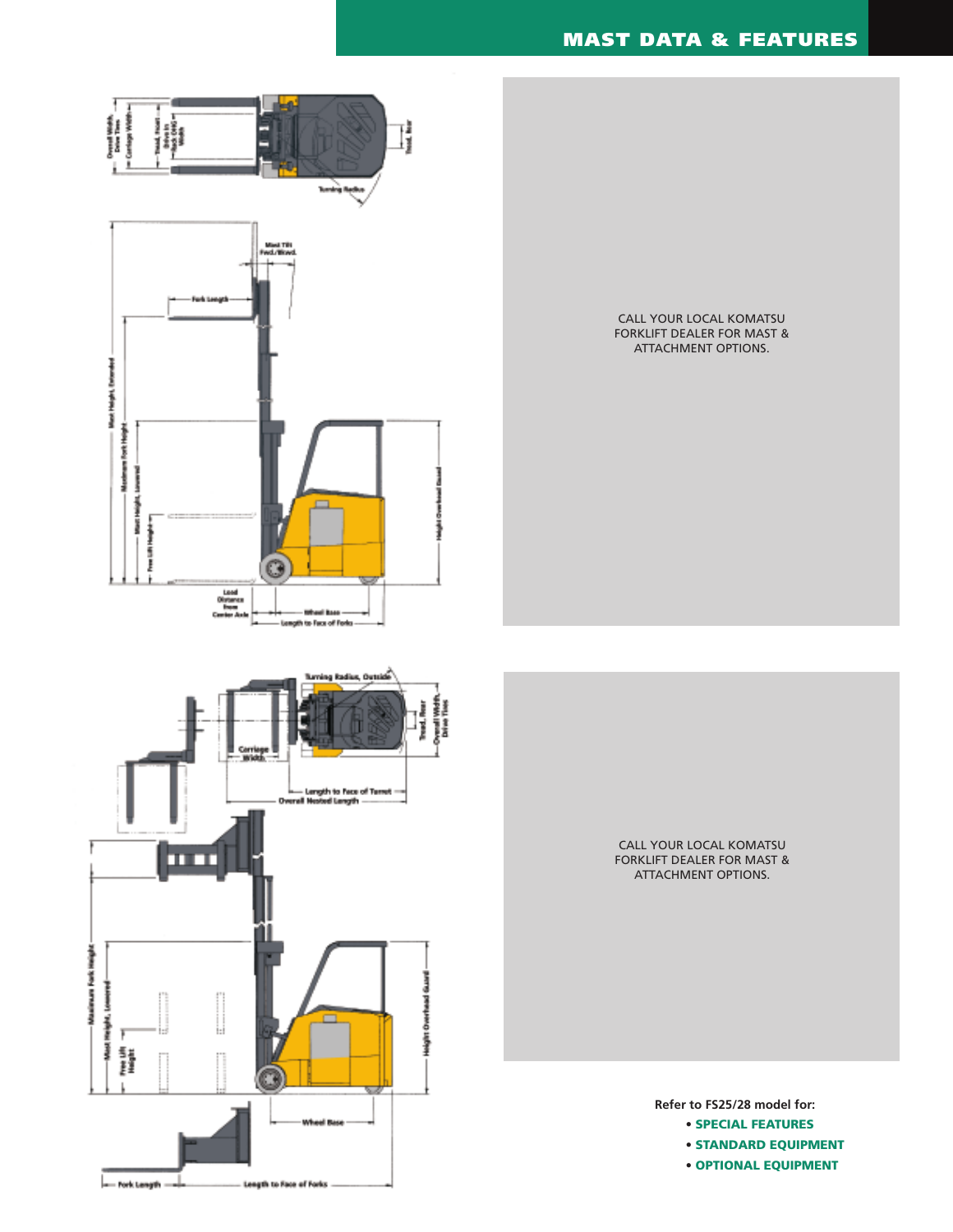# **MAST DATA & FEATURES**